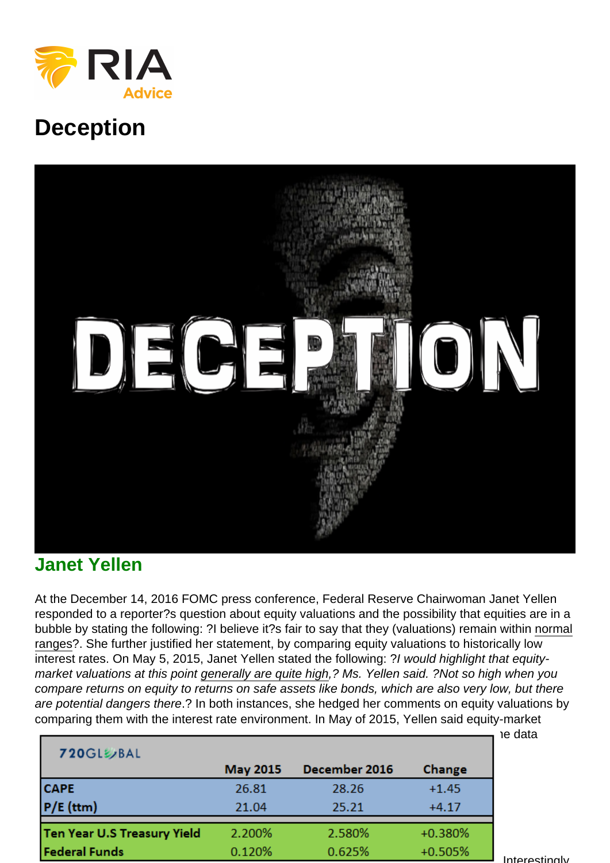## **Deception**

## Janet Yellen

At the December 14, 2016 FOMC press conference, Federal Reserve Chairwoman Janet Yellen responded to a reporter?s question about equity valuations and the possibility that equities are in a bubble by stating the following: ?I believe it?s fair to say that they (valuations) remain within normal ranges?. She further justified her statement, by comparing equity valuations to historically low interest rates. On May 5, 2015, Janet Yellen stated the following: ?I would highlight that equitymarket valuations at this point generally are quite high,? Ms. Yellen said. ?Not so high when you compare returns on equity to returns on safe assets like bonds, which are also very low, but there are potential dangers there.? In both instances, she hedged her comments on equity valuations by comparing them with the interest rate environment. In May of 2015, Yellen said equity-market [valuations ?are quite high? and today she claims they are ?within normal ranges?? Th](https://realinvestmentadvice.com/wp-content/uploads/2016/12/table-1.png)e data shown in the table below clearly argues otherwise.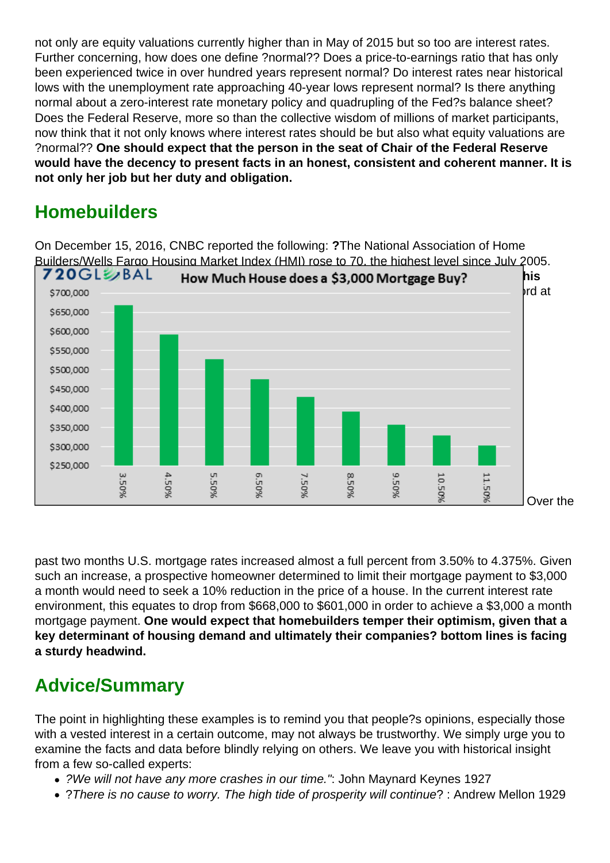not only are equity valuations currently higher than in May of 2015 but so too are interest rates. Further concerning, how does one define ?normal?? Does a price-to-earnings ratio that has only been experienced twice in over hundred years represent normal? Do interest rates near historical lows with the unemployment rate approaching 40-year lows represent normal? Is there anything normal about a zero-interest rate monetary policy and quadrupling of the Fed?s balance sheet? Does the Federal Reserve, more so than the collective wisdom of millions of market participants, now think that it not only knows where interest rates should be but also what equity valuations are ?normal?? One should expect that the person in the seat of Chair of the Federal Reserve would have the decency to present facts in an honest, consistent and coherent manner. It is not only her job but her duty and obligation.

## **Homebuilders**

On December 15, 2016, CNBC reported the following: ?The National Association of Home Builders/Wells Fargo Housing Market Index (HMI) rose to 70, the highest level since July 2005. [Fifty is the line between positive and negative sentiment. The index has not jumped by this](https://realinvestmentadvice.com/wp-content/uploads/2016/12/mtg-graph.png) much in one month in 20 years .? The graph below shows how much house one can afford at various interest rates assuming a \$3,000 mortgage payment.

Over the

past two months U.S. mortgage rates increased almost a full percent from 3.50% to 4.375%. Given such an increase, a prospective homeowner determined to limit their mortgage payment to \$3,000 a month would need to seek a 10% reduction in the price of a house. In the current interest rate environment, this equates to drop from \$668,000 to \$601,000 in order to achieve a \$3,000 a month mortgage payment. One would expect that homebuilders temper their optimism, given that a key determinant of housing demand and ultimately their companies? bottom lines is facing a sturdy headwind.

## Advice/Summary

The point in highlighting these examples is to remind you that people?s opinions, especially those with a vested interest in a certain outcome, may not always be trustworthy. We simply urge you to examine the facts and data before blindly relying on others. We leave you with historical insight from a few so-called experts:

- ?We will not have any more crashes in our time.": John Maynard Keynes 1927
- ?There is no cause to worry. The high tide of prosperity will continue? : Andrew Mellon 1929